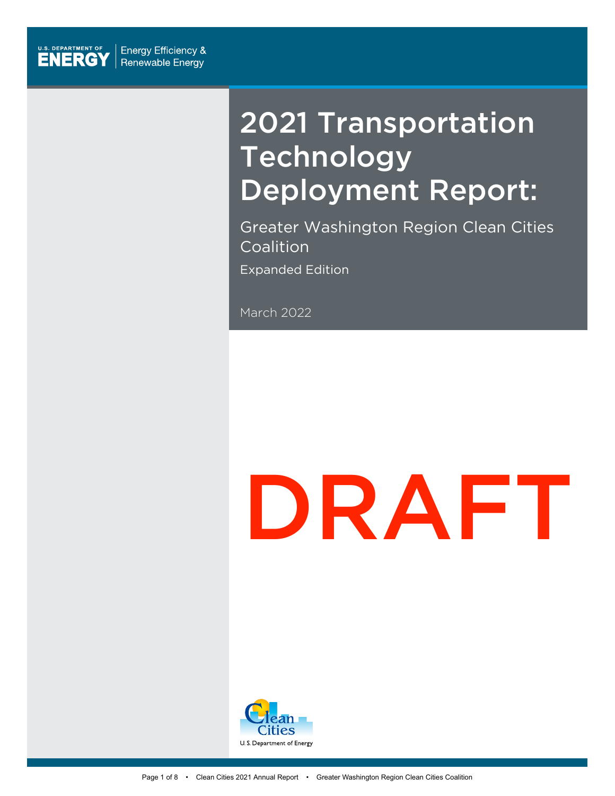

# 2021 Transportation Technology Deployment Report:

Greater Washington Region Clean Cities Coalition Expanded Edition

March 2022

# DRAFT

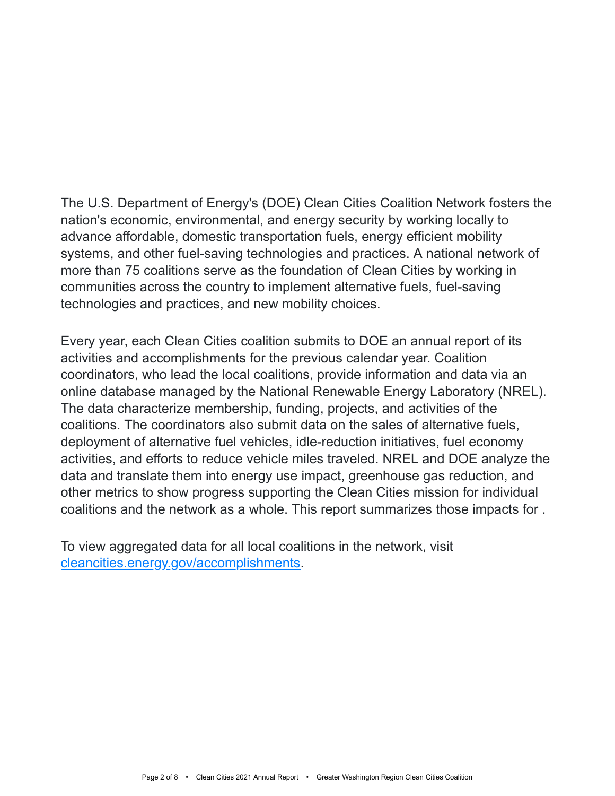The U.S. Department of Energy's (DOE) Clean Cities Coalition Network fosters the nation's economic, environmental, and energy security by working locally to advance affordable, domestic transportation fuels, energy efficient mobility systems, and other fuel-saving technologies and practices. A national network of more than 75 coalitions serve as the foundation of Clean Cities by working in communities across the country to implement alternative fuels, fuel-saving technologies and practices, and new mobility choices.

Every year, each Clean Cities coalition submits to DOE an annual report of its activities and accomplishments for the previous calendar year. Coalition coordinators, who lead the local coalitions, provide information and data via an online database managed by the National Renewable Energy Laboratory (NREL). The data characterize membership, funding, projects, and activities of the coalitions. The coordinators also submit data on the sales of alternative fuels, deployment of alternative fuel vehicles, idle-reduction initiatives, fuel economy activities, and efforts to reduce vehicle miles traveled. NREL and DOE analyze the data and translate them into energy use impact, greenhouse gas reduction, and other metrics to show progress supporting the Clean Cities mission for individual coalitions and the network as a whole. This report summarizes those impacts for .

To view aggregated data for all local coalitions in the network, visit [cleancities.energy.gov/accomplishments](https://cleancities.energy.gov/accomplishments/).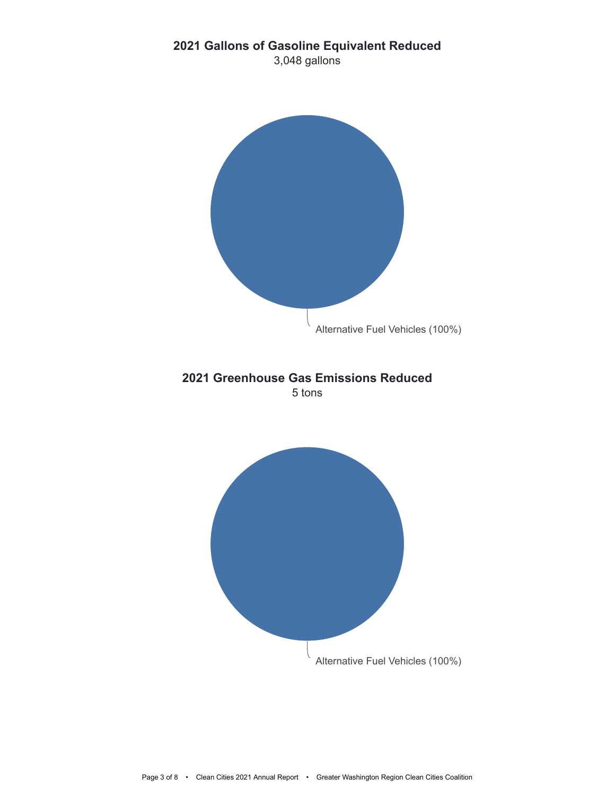#### **2021 Gallons of Gasoline Equivalent Reduced**

3,048 gallons

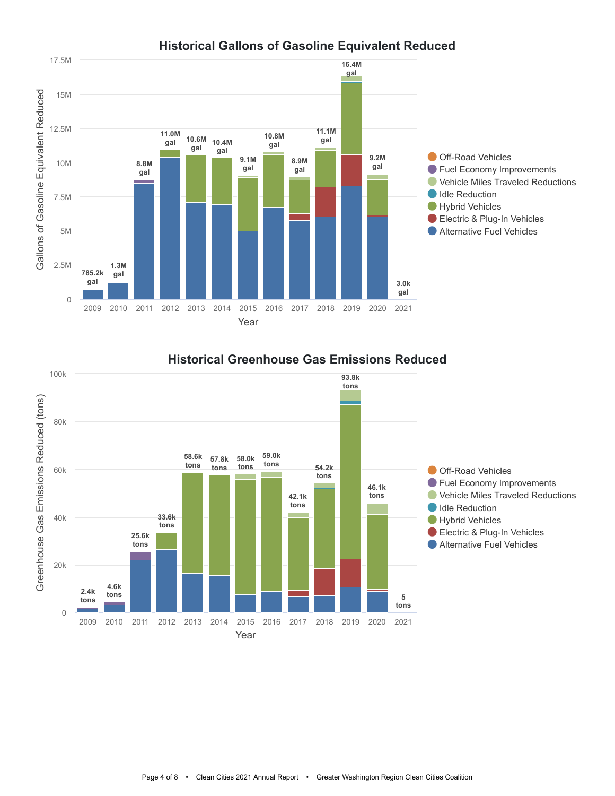



#### **Historical Greenhouse Gas Emissions Reduced**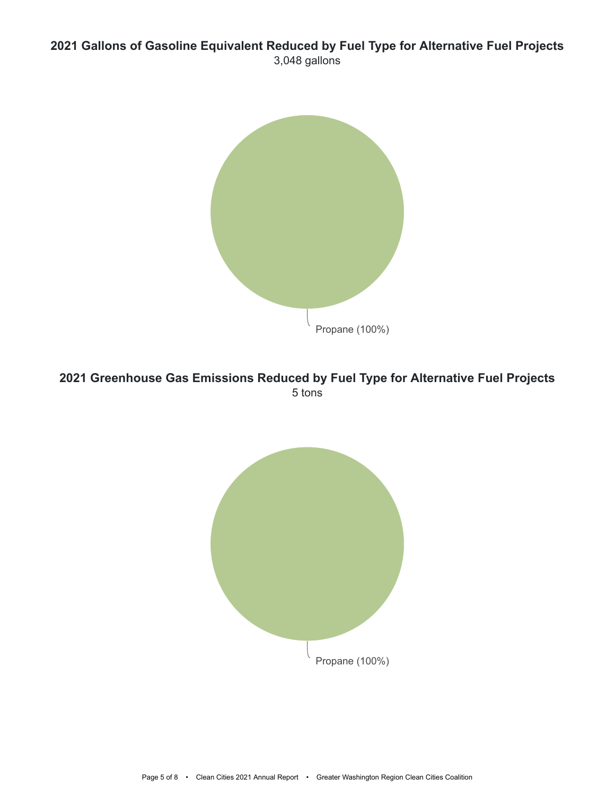#### **2021 Gallons of Gasoline Equivalent Reduced by Fuel Type for Alternative Fuel Projects** 3,048 gallons



#### **2021 Greenhouse Gas Emissions Reduced by Fuel Type for Alternative Fuel Projects** 5 tons

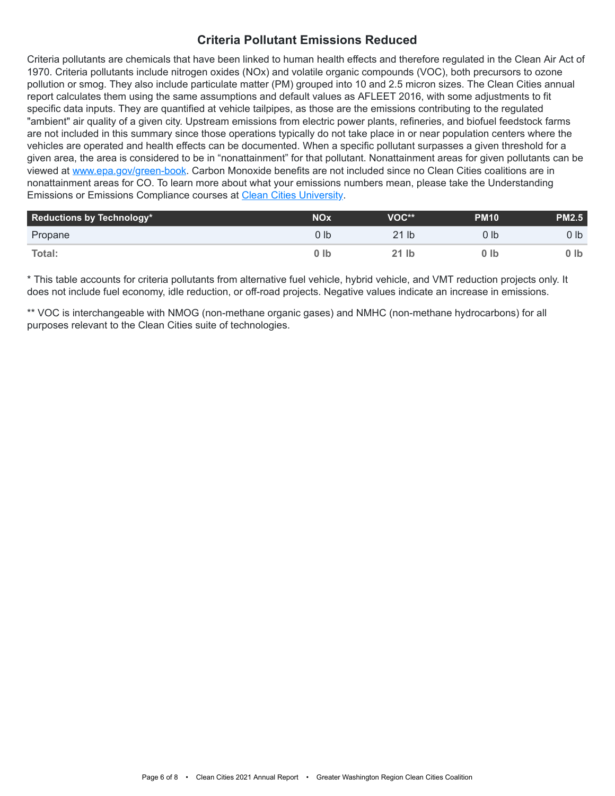#### **Criteria Pollutant Emissions Reduced**

Criteria pollutants are chemicals that have been linked to human health effects and therefore regulated in the Clean Air Act of 1970. Criteria pollutants include nitrogen oxides (NOx) and volatile organic compounds (VOC), both precursors to ozone pollution or smog. They also include particulate matter (PM) grouped into 10 and 2.5 micron sizes. The Clean Cities annual report calculates them using the same assumptions and default values as AFLEET 2016, with some adjustments to fit specific data inputs. They are quantified at vehicle tailpipes, as those are the emissions contributing to the regulated "ambient" air quality of a given city. Upstream emissions from electric power plants, refineries, and biofuel feedstock farms are not included in this summary since those operations typically do not take place in or near population centers where the vehicles are operated and health effects can be documented. When a specific pollutant surpasses a given threshold for a given area, the area is considered to be in "nonattainment" for that pollutant. Nonattainment areas for given pollutants can be viewed at [www.epa.gov/green-book](https://www.epa.gov/green-book). Carbon Monoxide benefits are not included since no Clean Cities coalitions are in nonattainment areas for CO. To learn more about what your emissions numbers mean, please take the Understanding Emissions or Emissions Compliance courses at [Clean Cities University.](https://cleancities.energy.gov/toolbox/education-webinars/)

| Reductions by Technology* | <b>NOx</b> | VOC**            | <b>PM10</b> | <b>PM2.5</b> |
|---------------------------|------------|------------------|-------------|--------------|
| Propane                   | J Ib       | 21 <sub>lb</sub> | 0 lb        | O Ibi        |
| Total:                    | ) Ib       | 21 lb            | 0 Ib        | 0 Ib         |

\* This table accounts for criteria pollutants from alternative fuel vehicle, hybrid vehicle, and VMT reduction projects only. It does not include fuel economy, idle reduction, or off-road projects. Negative values indicate an increase in emissions.

\*\* VOC is interchangeable with NMOG (non-methane organic gases) and NMHC (non-methane hydrocarbons) for all purposes relevant to the Clean Cities suite of technologies.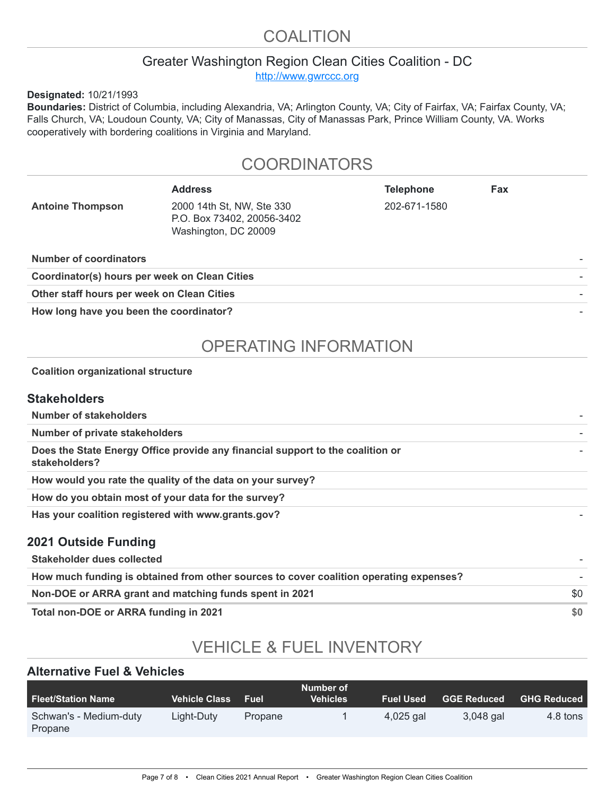# COALITION

#### Greater Washington Region Clean Cities Coalition - DC

[http://www.gwrccc.org](http://www.gwrccc.org/)

**Designated:** 10/21/1993

**Boundaries:** District of Columbia, including Alexandria, VA; Arlington County, VA; City of Fairfax, VA; Fairfax County, VA; Falls Church, VA; Loudoun County, VA; City of Manassas, City of Manassas Park, Prince William County, VA. Works cooperatively with bordering coalitions in Virginia and Maryland.

### **COORDINATORS**

|                                               | <b>Address</b>                                                                  | <b>Telephone</b> | Fax |  |  |
|-----------------------------------------------|---------------------------------------------------------------------------------|------------------|-----|--|--|
| <b>Antoine Thompson</b>                       | 2000 14th St, NW, Ste 330<br>P.O. Box 73402, 20056-3402<br>Washington, DC 20009 | 202-671-1580     |     |  |  |
| <b>Number of coordinators</b>                 |                                                                                 |                  |     |  |  |
| Coordinator(s) hours per week on Clean Cities |                                                                                 |                  |     |  |  |
| Other staff hours per week on Clean Cities    |                                                                                 |                  |     |  |  |
| .                                             |                                                                                 |                  |     |  |  |

How long have you been the coordinator?

# OPERATING INFORMATION

#### **Coalition organizational structure**

#### **Stakeholders**

| Number of stakeholders                                                                          |     |
|-------------------------------------------------------------------------------------------------|-----|
| <b>Number of private stakeholders</b>                                                           |     |
| Does the State Energy Office provide any financial support to the coalition or<br>stakeholders? |     |
| How would you rate the quality of the data on your survey?                                      |     |
| How do you obtain most of your data for the survey?                                             |     |
| Has your coalition registered with www.grants.gov?                                              |     |
| 2021 Outside Funding                                                                            |     |
| Stakeholder dues collected                                                                      |     |
| How much funding is obtained from other sources to cover coalition operating expenses?          |     |
| Non-DOE or ARRA grant and matching funds spent in 2021                                          | \$0 |

**Total non-DOE or ARRA funding in 2021 \$0** 

# VEHICLE & FUEL INVENTORY

#### **Alternative Fuel & Vehicles**

| <b>Fleet/Station Name</b>         | <b>Vehicle Class</b> | <b>Fuel</b> | Number of<br><b>Vehicles</b> | <b>Fuel Used</b> | <b>GGE Reduced</b> | <b>GHG Reduced</b> |
|-----------------------------------|----------------------|-------------|------------------------------|------------------|--------------------|--------------------|
| Schwan's - Medium-duty<br>Propane | Light-Duty           | Propane     |                              | 4,025 gal        | 3.048 gal          | 4.8 tons           |